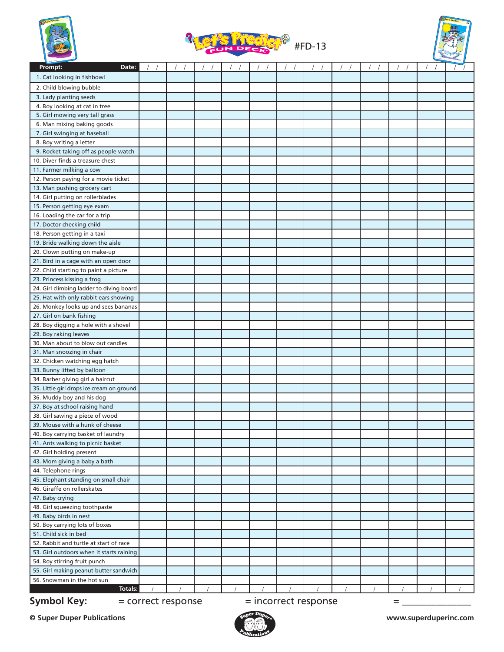





| Prompt:<br>Date:                                                    |  |  |  |  |  |  |
|---------------------------------------------------------------------|--|--|--|--|--|--|
| 1. Cat looking in fishbowl                                          |  |  |  |  |  |  |
| 2. Child blowing bubble                                             |  |  |  |  |  |  |
| 3. Lady planting seeds                                              |  |  |  |  |  |  |
| 4. Boy looking at cat in tree                                       |  |  |  |  |  |  |
| 5. Girl mowing very tall grass                                      |  |  |  |  |  |  |
| 6. Man mixing baking goods                                          |  |  |  |  |  |  |
| 7. Girl swinging at baseball                                        |  |  |  |  |  |  |
| 8. Boy writing a letter                                             |  |  |  |  |  |  |
| 9. Rocket taking off as people watch                                |  |  |  |  |  |  |
| 10. Diver finds a treasure chest                                    |  |  |  |  |  |  |
| 11. Farmer milking a cow                                            |  |  |  |  |  |  |
| 12. Person paying for a movie ticket                                |  |  |  |  |  |  |
| 13. Man pushing grocery cart                                        |  |  |  |  |  |  |
| 14. Girl putting on rollerblades                                    |  |  |  |  |  |  |
| 15. Person getting eye exam                                         |  |  |  |  |  |  |
| 16. Loading the car for a trip                                      |  |  |  |  |  |  |
| 17. Doctor checking child                                           |  |  |  |  |  |  |
| 18. Person getting in a taxi                                        |  |  |  |  |  |  |
| 19. Bride walking down the aisle                                    |  |  |  |  |  |  |
| 20. Clown putting on make-up                                        |  |  |  |  |  |  |
| 21. Bird in a cage with an open door                                |  |  |  |  |  |  |
| 22. Child starting to paint a picture                               |  |  |  |  |  |  |
| 23. Princess kissing a frog                                         |  |  |  |  |  |  |
| 24. Girl climbing ladder to diving board                            |  |  |  |  |  |  |
| 25. Hat with only rabbit ears showing                               |  |  |  |  |  |  |
| 26. Monkey looks up and sees bananas                                |  |  |  |  |  |  |
| 27. Girl on bank fishing                                            |  |  |  |  |  |  |
| 28. Boy digging a hole with a shovel                                |  |  |  |  |  |  |
| 29. Boy raking leaves                                               |  |  |  |  |  |  |
| 30. Man about to blow out candles                                   |  |  |  |  |  |  |
| 31. Man snoozing in chair                                           |  |  |  |  |  |  |
| 32. Chicken watching egg hatch                                      |  |  |  |  |  |  |
| 33. Bunny lifted by balloon                                         |  |  |  |  |  |  |
| 34. Barber giving girl a haircut                                    |  |  |  |  |  |  |
| 35. Little girl drops ice cream on ground                           |  |  |  |  |  |  |
| 36. Muddy boy and his dog                                           |  |  |  |  |  |  |
| 37. Boy at school raising hand                                      |  |  |  |  |  |  |
| 38. Girl sawing a piece of wood                                     |  |  |  |  |  |  |
| 39. Mouse with a hunk of cheese                                     |  |  |  |  |  |  |
| 40. Boy carrying basket of laundry                                  |  |  |  |  |  |  |
| 41. Ants walking to picnic basket                                   |  |  |  |  |  |  |
| 42. Girl holding present                                            |  |  |  |  |  |  |
| 43. Mom giving a baby a bath                                        |  |  |  |  |  |  |
| 44. Telephone rings                                                 |  |  |  |  |  |  |
| 45. Elephant standing on small chair<br>46. Giraffe on rollerskates |  |  |  |  |  |  |
|                                                                     |  |  |  |  |  |  |
| 47. Baby crying<br>48. Girl squeezing toothpaste                    |  |  |  |  |  |  |
| 49. Baby birds in nest                                              |  |  |  |  |  |  |
| 50. Boy carrying lots of boxes                                      |  |  |  |  |  |  |
| 51. Child sick in bed                                               |  |  |  |  |  |  |
| 52. Rabbit and turtle at start of race                              |  |  |  |  |  |  |
| 53. Girl outdoors when it starts raining                            |  |  |  |  |  |  |
| 54. Boy stirring fruit punch                                        |  |  |  |  |  |  |
| 55. Girl making peanut-butter sandwich                              |  |  |  |  |  |  |
| 56. Snowman in the hot sun                                          |  |  |  |  |  |  |
| Totals:                                                             |  |  |  |  |  |  |
|                                                                     |  |  |  |  |  |  |

**Symbol Key:**  $=$  correct response  $=$  incorrect response  $=$  \_\_\_\_\_\_\_\_\_\_\_\_\_\_\_\_\_\_\_\_

**© Super Duper Publications www.superduperinc.com**